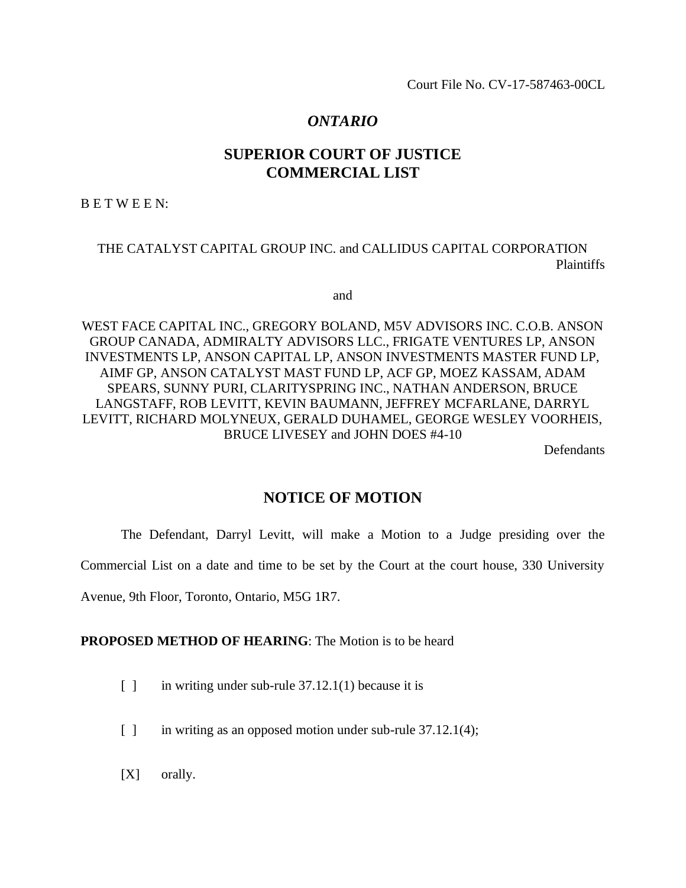Court File No. CV-17-587463-00CL

# *ONTARIO*

# **SUPERIOR COURT OF JUSTICE COMMERCIAL LIST**

B E T W E E N:

# THE CATALYST CAPITAL GROUP INC. and CALLIDUS CAPITAL CORPORATION Plaintiffs

and

WEST FACE CAPITAL INC., GREGORY BOLAND, M5V ADVISORS INC. C.O.B. ANSON GROUP CANADA, ADMIRALTY ADVISORS LLC., FRIGATE VENTURES LP, ANSON INVESTMENTS LP, ANSON CAPITAL LP, ANSON INVESTMENTS MASTER FUND LP, AIMF GP, ANSON CATALYST MAST FUND LP, ACF GP, MOEZ KASSAM, ADAM SPEARS, SUNNY PURI, CLARITYSPRING INC., NATHAN ANDERSON, BRUCE LANGSTAFF, ROB LEVITT, KEVIN BAUMANN, JEFFREY MCFARLANE, DARRYL LEVITT, RICHARD MOLYNEUX, GERALD DUHAMEL, GEORGE WESLEY VOORHEIS, BRUCE LIVESEY and JOHN DOES #4-10

**Defendants** 

# **NOTICE OF MOTION**

The Defendant, Darryl Levitt, will make a Motion to a Judge presiding over the

Commercial List on a date and time to be set by the Court at the court house, 330 University

Avenue, 9th Floor, Toronto, Ontario, M5G 1R7.

## **PROPOSED METHOD OF HEARING**: The Motion is to be heard

- $\lceil \cdot \rceil$  in writing under sub-rule 37.12.1(1) because it is
- [ ] in writing as an opposed motion under sub-rule 37.12.1(4);
- [X] orally.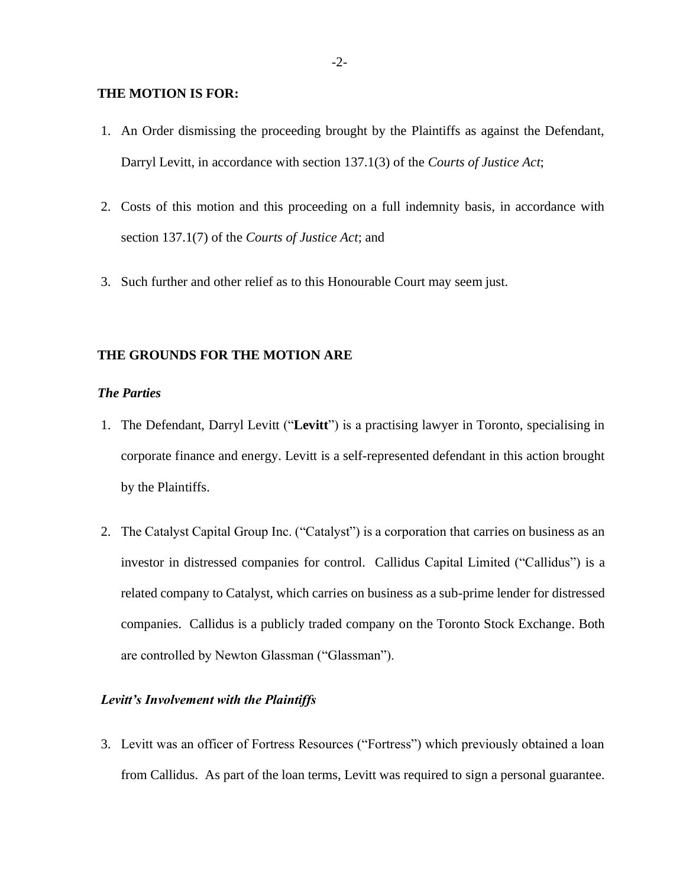#### **THE MOTION IS FOR:**

- 1. An Order dismissing the proceeding brought by the Plaintiffs as against the Defendant, Darryl Levitt, in accordance with section 137.1(3) of the *Courts of Justice Act*;
- 2. Costs of this motion and this proceeding on a full indemnity basis, in accordance with section 137.1(7) of the *Courts of Justice Act*; and
- 3. Such further and other relief as to this Honourable Court may seem just.

#### **THE GROUNDS FOR THE MOTION ARE**

#### *The Parties*

- 1. The Defendant, Darryl Levitt ("**Levitt**") is a practising lawyer in Toronto, specialising in corporate finance and energy. Levitt is a self-represented defendant in this action brought by the Plaintiffs.
- 2. The Catalyst Capital Group Inc. ("Catalyst") is a corporation that carries on business as an investor in distressed companies for control. Callidus Capital Limited ("Callidus") is a related company to Catalyst, which carries on business as a sub-prime lender for distressed companies. Callidus is a publicly traded company on the Toronto Stock Exchange. Both are controlled by Newton Glassman ("Glassman").

### *Levitt's Involvement with the Plaintiffs*

3. Levitt was an officer of Fortress Resources ("Fortress") which previously obtained a loan from Callidus. As part of the loan terms, Levitt was required to sign a personal guarantee.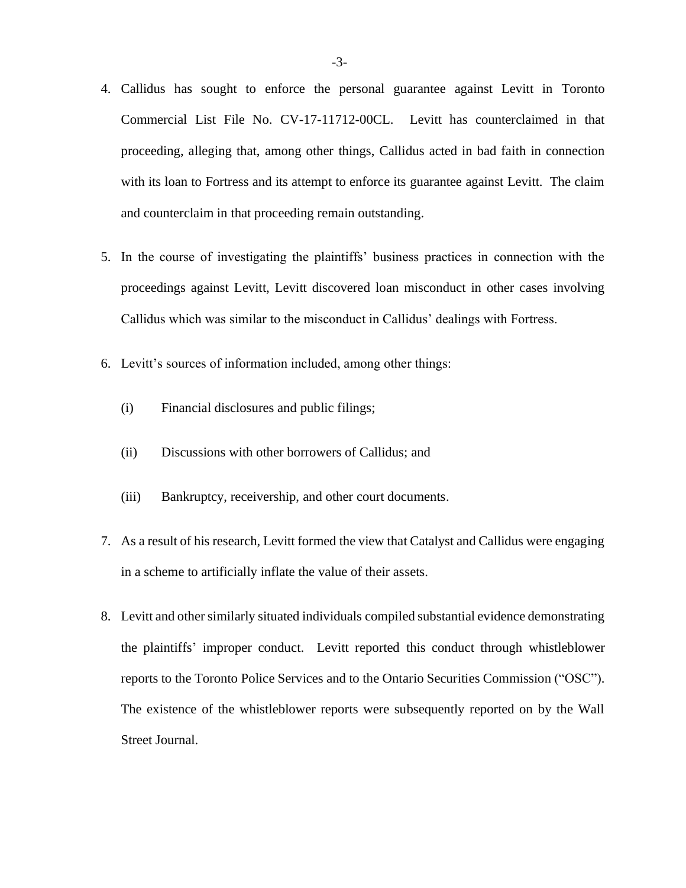- 4. Callidus has sought to enforce the personal guarantee against Levitt in Toronto Commercial List File No. CV-17-11712-00CL. Levitt has counterclaimed in that proceeding, alleging that, among other things, Callidus acted in bad faith in connection with its loan to Fortress and its attempt to enforce its guarantee against Levitt. The claim and counterclaim in that proceeding remain outstanding.
- 5. In the course of investigating the plaintiffs' business practices in connection with the proceedings against Levitt, Levitt discovered loan misconduct in other cases involving Callidus which was similar to the misconduct in Callidus' dealings with Fortress.
- 6. Levitt's sources of information included, among other things:
	- (i) Financial disclosures and public filings;
	- (ii) Discussions with other borrowers of Callidus; and
	- (iii) Bankruptcy, receivership, and other court documents.
- 7. As a result of his research, Levitt formed the view that Catalyst and Callidus were engaging in a scheme to artificially inflate the value of their assets.
- 8. Levitt and other similarly situated individuals compiled substantial evidence demonstrating the plaintiffs' improper conduct. Levitt reported this conduct through whistleblower reports to the Toronto Police Services and to the Ontario Securities Commission ("OSC"). The existence of the whistleblower reports were subsequently reported on by the Wall Street Journal.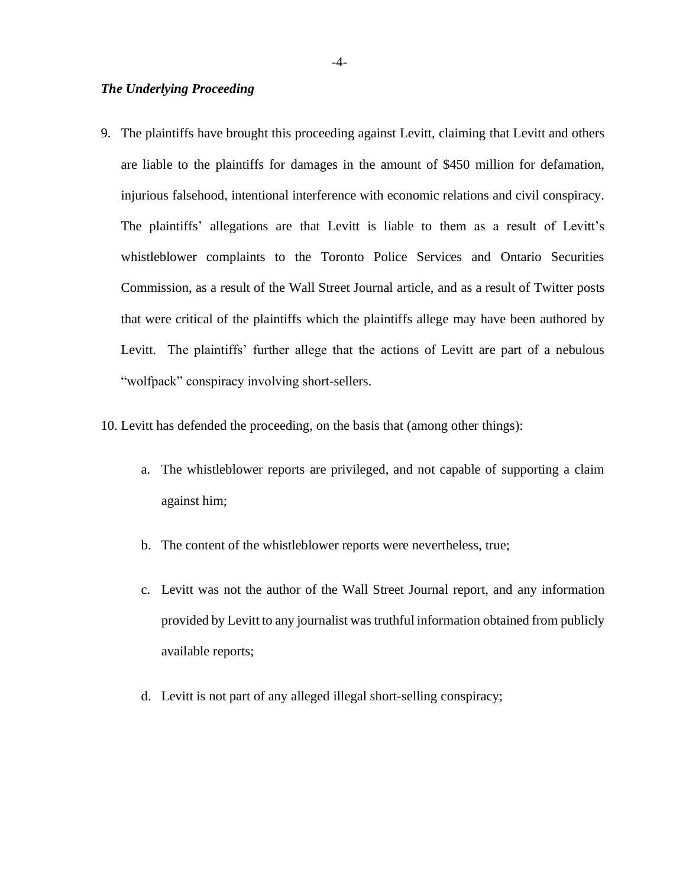### *The Underlying Proceeding*

- 9. The plaintiffs have brought this proceeding against Levitt, claiming that Levitt and others are liable to the plaintiffs for damages in the amount of \$450 million for defamation, injurious falsehood, intentional interference with economic relations and civil conspiracy. The plaintiffs' allegations are that Levitt is liable to them as a result of Levitt's whistleblower complaints to the Toronto Police Services and Ontario Securities Commission, as a result of the Wall Street Journal article, and as a result of Twitter posts that were critical of the plaintiffs which the plaintiffs allege may have been authored by Levitt. The plaintiffs' further allege that the actions of Levitt are part of a nebulous "wolfpack" conspiracy involving short-sellers.
- 10. Levitt has defended the proceeding, on the basis that (among other things):
	- a. The whistleblower reports are privileged, and not capable of supporting a claim against him;
	- b. The content of the whistleblower reports were nevertheless, true;
	- c. Levitt was not the author of the Wall Street Journal report, and any information provided by Levitt to any journalist was truthful information obtained from publicly available reports;
	- d. Levitt is not part of any alleged illegal short-selling conspiracy;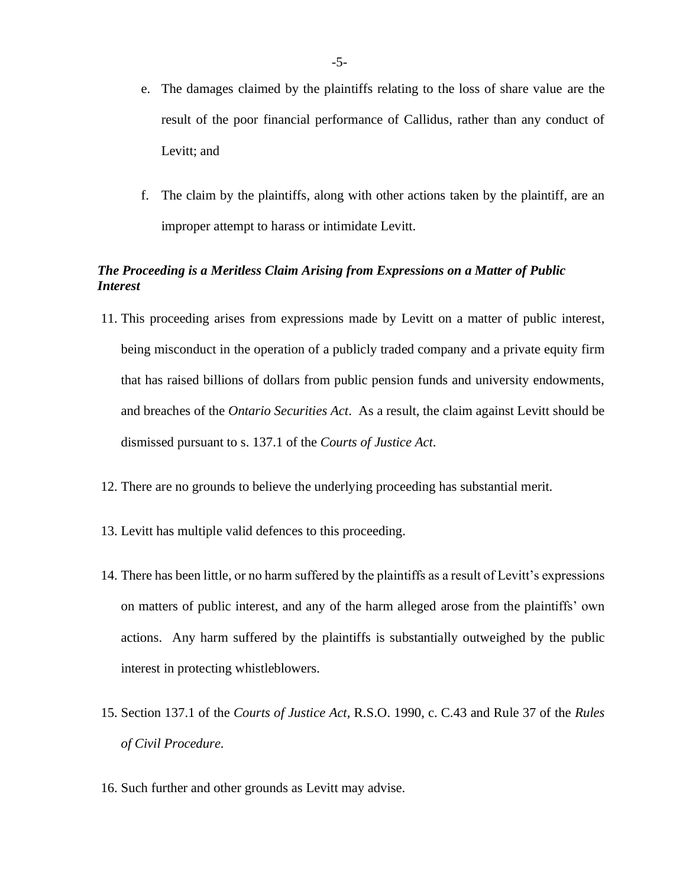- e. The damages claimed by the plaintiffs relating to the loss of share value are the result of the poor financial performance of Callidus, rather than any conduct of Levitt; and
- f. The claim by the plaintiffs, along with other actions taken by the plaintiff, are an improper attempt to harass or intimidate Levitt.

# *The Proceeding is a Meritless Claim Arising from Expressions on a Matter of Public Interest*

- 11. This proceeding arises from expressions made by Levitt on a matter of public interest, being misconduct in the operation of a publicly traded company and a private equity firm that has raised billions of dollars from public pension funds and university endowments, and breaches of the *Ontario Securities Act*. As a result, the claim against Levitt should be dismissed pursuant to s. 137.1 of the *Courts of Justice Act*.
- 12. There are no grounds to believe the underlying proceeding has substantial merit.
- 13. Levitt has multiple valid defences to this proceeding.
- 14. There has been little, or no harm suffered by the plaintiffs as a result of Levitt's expressions on matters of public interest, and any of the harm alleged arose from the plaintiffs' own actions. Any harm suffered by the plaintiffs is substantially outweighed by the public interest in protecting whistleblowers.
- 15. Section 137.1 of the *Courts of Justice Act*, R.S.O. 1990, c. C.43 and Rule 37 of the *Rules of Civil Procedure.*
- 16. Such further and other grounds as Levitt may advise.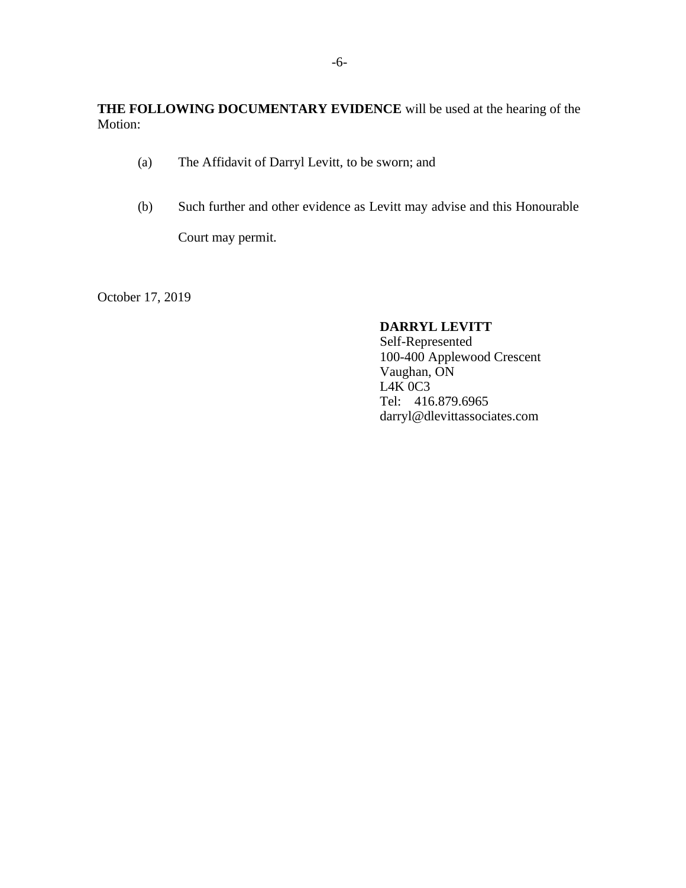# **THE FOLLOWING DOCUMENTARY EVIDENCE** will be used at the hearing of the Motion:

- (a) The Affidavit of Darryl Levitt, to be sworn; and
- (b) Such further and other evidence as Levitt may advise and this Honourable

Court may permit.

October 17, 2019

# **DARRYL LEVITT**

Self-Represented 100-400 Applewood Crescent Vaughan, ON L4K 0C3 Tel: 416.879.6965 darryl@dlevittassociates.com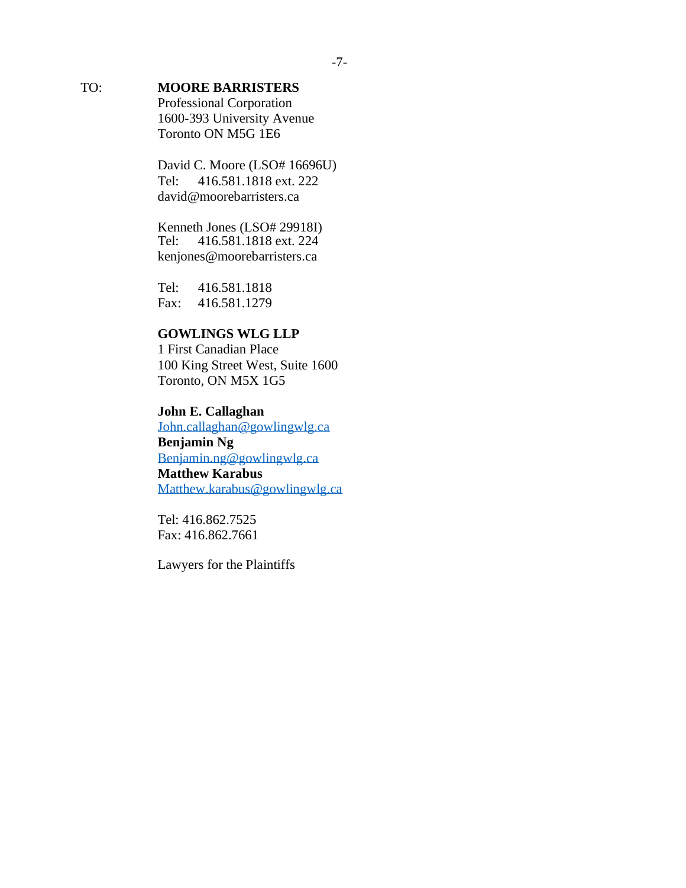# TO: **MOORE BARRISTERS**

Professional Corporation 1600-393 University Avenue Toronto ON M5G 1E6

David C. Moore (LSO# 16696U) Tel: 416.581.1818 ext. 222 [david@moorebarristers.ca](mailto:david@moorebarristers.ca)

Kenneth Jones (LSO# 29918I) Tel: 416.581.1818 ext. 224 [kenjones@moorebarristers.ca](mailto:kenjones@moorebarristers.ca)

Tel: 416.581.1818 Fax: 416.581.1279

# **GOWLINGS WLG LLP**

1 First Canadian Place 100 King Street West, Suite 1600 Toronto, ON M5X 1G5

# **John E. Callaghan**  [John.callaghan@gowlingwlg.ca](mailto:John.callaghan@gowlingwlg.ca) **Benjamin Ng**  [Benjamin.ng@gowlingwlg.ca](mailto:Benjamin.ng@gowlingwlg.ca) **Matthew Karabus**

[Matthew.karabus@gowlingwlg.ca](mailto:Matthew.karabus@gowlingwlg.ca)

Tel: 416.862.7525 Fax: 416.862.7661

Lawyers for the Plaintiffs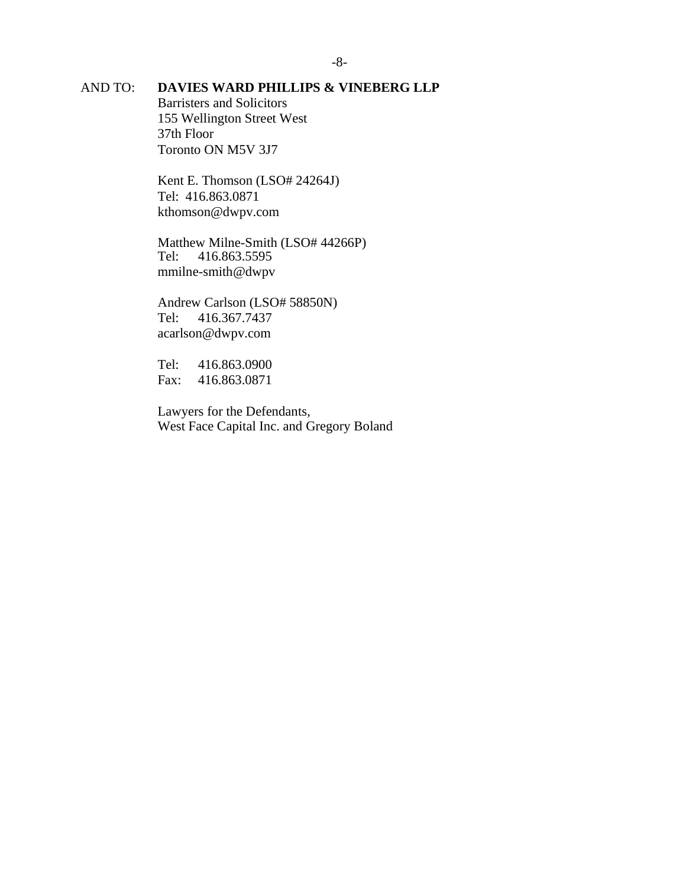# AND TO: **DAVIES WARD PHILLIPS & VINEBERG LLP**

Barristers and Solicitors 155 Wellington Street West 37th Floor Toronto ON M5V 3J7

Kent E. Thomson (LSO# 24264J) Tel: 416.863.0871 [kthomson@dwpv.com](mailto:kthomson@dwpv.com)

Matthew Milne-Smith (LSO# 44266P)<br>Tel: 416.863.5595 Tel: 416.863.5595 mmilne-smith@dwpv

Andrew Carlson (LSO# 58850N) Tel: 416.367.7437 [acarlson@dwpv.com](mailto:acarlson@dwpv.com)

Tel: 416.863.0900 Fax: 416.863.0871

Lawyers for the Defendants, West Face Capital Inc. and Gregory Boland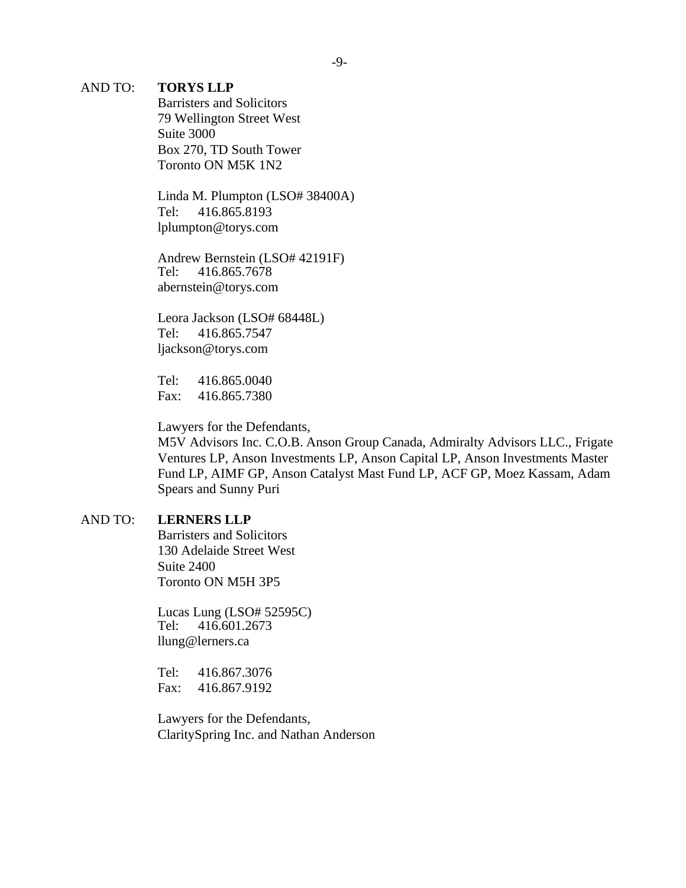#### AND TO: **TORYS LLP**

Barristers and Solicitors 79 Wellington Street West Suite 3000 Box 270, TD South Tower Toronto ON M5K 1N2

Linda M. Plumpton (LSO# 38400A) Tel: 416.865.8193 [lplumpton@torys.com](mailto:lplumpton@torys.com)

Andrew Bernstein (LSO# 42191F) Tel: 416.865.7678 [abernstein@torys.com](mailto:abernstein@torys.com)

Leora Jackson (LSO# 68448L) Tel: 416.865.7547 [ljackson@torys.com](mailto:ljackson@torys.com)

Tel: 416.865.0040 Fax: 416.865.7380

Lawyers for the Defendants,

M5V Advisors Inc. C.O.B. Anson Group Canada, Admiralty Advisors LLC., Frigate Ventures LP, Anson Investments LP, Anson Capital LP, Anson Investments Master Fund LP, AIMF GP, Anson Catalyst Mast Fund LP, ACF GP, Moez Kassam, Adam Spears and Sunny Puri

### AND TO: **LERNERS LLP**

Barristers and Solicitors 130 Adelaide Street West Suite 2400 Toronto ON M5H 3P5

Lucas Lung (LSO# 52595C) Tel: 416.601.2673 [llung@lerners.ca](mailto:llung@lerners.ca)

Tel: 416.867.3076 Fax: 416.867.9192

Lawyers for the Defendants, ClaritySpring Inc. and Nathan Anderson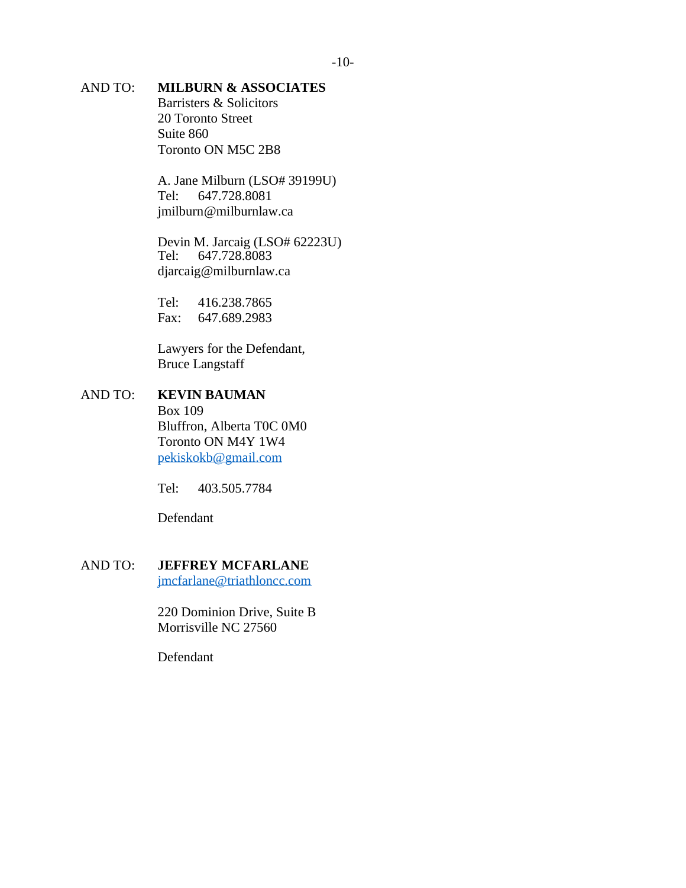## AND TO: **MILBURN & ASSOCIATES**

Barristers & Solicitors 20 Toronto Street Suite 860 Toronto ON M5C 2B8

A. Jane Milburn (LSO# 39199U) Tel: 647.728.8081 [jmilburn@milburnlaw.ca](mailto:jmilburn@milburnlaw.ca)

Devin M. Jarcaig (LSO# 62223U)<br>Tel: 647.728.8083 647.728.8083 [djarcaig@milburnlaw.ca](mailto:djarcaig@milburnlaw.ca)

Tel: 416.238.7865 Fax: 647.689.2983

Lawyers for the Defendant, Bruce Langstaff

# AND TO: **KEVIN BAUMAN** Box 109 Bluffron, Alberta T0C 0M0

Toronto ON M4Y 1W4 [pekiskokb@gmail.com](mailto:pekiskokb@gmail.com)

Tel: 403.505.7784

Defendant

## AND TO: **JEFFREY MCFARLANE**

[jmcfarlane@triathloncc.com](mailto:jmcfarlane@triathloncc.com)

220 Dominion Drive, Suite B Morrisville NC 27560

Defendant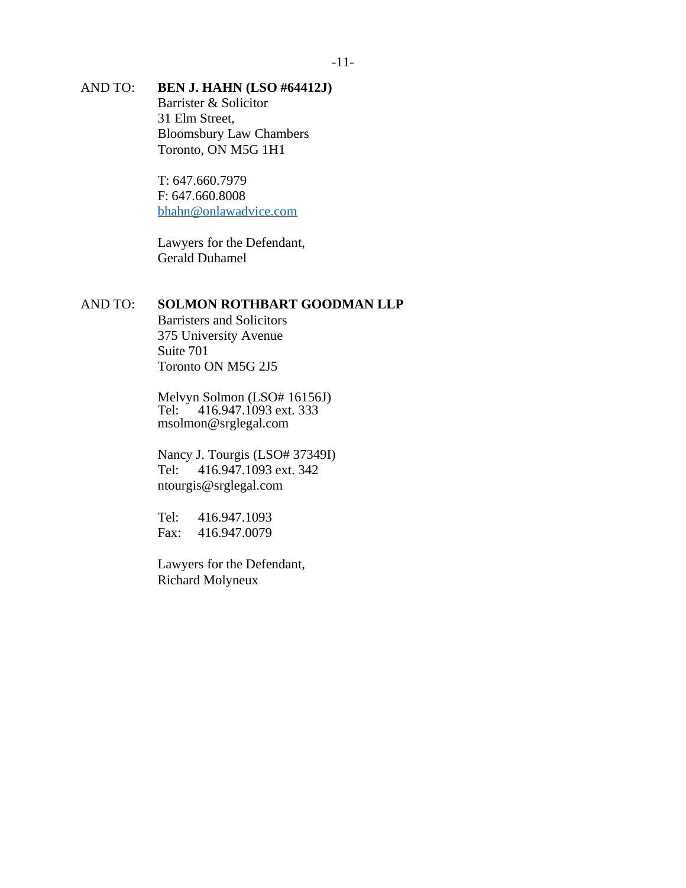## AND TO: **BEN J. HAHN (LSO #64412J)**

Barrister & Solicitor 31 Elm Street, Bloomsbury Law Chambers Toronto, ON M5G 1H1

T: 647.660.7979 F: 647.660.8008 [bhahn@onlawadvice.com](mailto:bhahn@onlawadvice.com)

Lawyers for the Defendant, Gerald Duhamel

## AND TO: **SOLMON ROTHBART GOODMAN LLP**

Barristers and Solicitors 375 University Avenue Suite 701 Toronto ON M5G 2J5

Melvyn Solmon (LSO# 16156J) Tel: 416.947.1093 ext. 333 [msolmon@srglegal.com](mailto:msolmon@srglegal.com)

Nancy J. Tourgis (LSO# 37349I) Tel: 416.947.1093 ext. 342 [ntourgis@srglegal.com](mailto:ntourgis@srglegal.com)

Tel: 416.947.1093 Fax: 416.947.0079

Lawyers for the Defendant, Richard Molyneux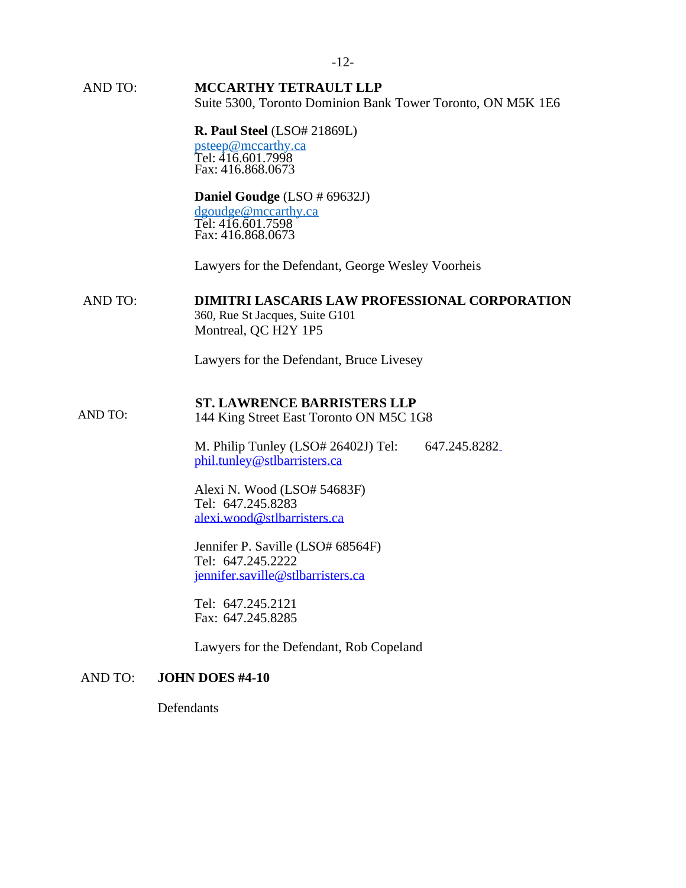AND TO: **MCCARTHY TETRAULT LLP** Suite 5300, Toronto Dominion Bank Tower Toronto, ON M5K 1E6

#### **R. Paul Steel** (LSO# 21869L) [psteep@mccarthy.ca](mailto:psteep@mccarthy.ca) Tel: 416.601.7998 Fax: 416.868.0673

### **Daniel Goudge** (LSO # 69632J)

[dgoudge@mccarthy.ca](mailto:dgoudge@mccarthy.ca) Tel: 416.601.7598 Fax: 416.868.0673

Lawyers for the Defendant, George Wesley Voorheis

#### AND TO: **DIMITRI LASCARIS LAW PROFESSIONAL CORPORATION**

360, Rue St Jacques, Suite G101 Montreal, QC H2Y 1P5

Lawyers for the Defendant, Bruce Livesey

#### **ST. LAWRENCE BARRISTERS LLP**

 AND TO: 144 King Street East Toronto ON M5C 1G8

> M. Philip Tunley (LSO# 26402J) Tel: 647.245.828[2](mailto:phil.tunley@stlbarristers.ca) [phil.tunley@stlbarristers.ca](mailto:phil.tunley@stlbarristers.ca)

Alexi N. Wood (LSO# 54683F) Tel: 647.245.8283 [alexi.wood@stlbarristers.ca](mailto:alexi.wood@stlbarristers.ca)

Jennifer P. Saville (LSO# 68564F) Tel: 647.245.2222 [jennifer.saville@stlbarristers.ca](mailto:jennifer.saville@stlbarristers.ca)

Tel: 647.245.2121 Fax: 647.245.8285

Lawyers for the Defendant, Rob Copeland

#### AND TO: **JOHN DOES #4-10**

**Defendants**